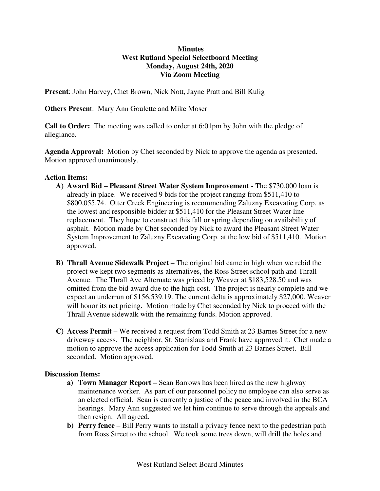## **Minutes West Rutland Special Selectboard Meeting Monday, August 24th, 2020 Via Zoom Meeting**

**Present**: John Harvey, Chet Brown, Nick Nott, Jayne Pratt and Bill Kulig

**Others Presen**t: Mary Ann Goulette and Mike Moser

**Call to Order:** The meeting was called to order at 6:01pm by John with the pledge of allegiance.

**Agenda Approval:** Motion by Chet seconded by Nick to approve the agenda as presented. Motion approved unanimously.

## **Action Items:**

- **A) Award Bid – Pleasant Street Water System Improvement** The \$730,000 loan is already in place. We received 9 bids for the project ranging from \$511,410 to \$800,055.74. Otter Creek Engineering is recommending Zaluzny Excavating Corp. as the lowest and responsible bidder at \$511,410 for the Pleasant Street Water line replacement. They hope to construct this fall or spring depending on availability of asphalt. Motion made by Chet seconded by Nick to award the Pleasant Street Water System Improvement to Zaluzny Excavating Corp. at the low bid of \$511,410. Motion approved.
- **B) Thrall Avenue Sidewalk Project –** The original bid came in high when we rebid the project we kept two segments as alternatives, the Ross Street school path and Thrall Avenue. The Thrall Ave Alternate was priced by Weaver at \$183,528.50 and was omitted from the bid award due to the high cost. The project is nearly complete and we expect an underrun of \$156,539.19. The current delta is approximately \$27,000. Weaver will honor its net pricing. Motion made by Chet seconded by Nick to proceed with the Thrall Avenue sidewalk with the remaining funds. Motion approved.
- **C) Access Permit –** We received a request from Todd Smith at 23 Barnes Street for a new driveway access. The neighbor, St. Stanislaus and Frank have approved it. Chet made a motion to approve the access application for Todd Smith at 23 Barnes Street. Bill seconded. Motion approved.

## **Discussion Items:**

- **a) Town Manager Report –** Sean Barrows has been hired as the new highway maintenance worker. As part of our personnel policy no employee can also serve as an elected official. Sean is currently a justice of the peace and involved in the BCA hearings. Mary Ann suggested we let him continue to serve through the appeals and then resign. All agreed.
- **b) Perry fence –** Bill Perry wants to install a privacy fence next to the pedestrian path from Ross Street to the school. We took some trees down, will drill the holes and